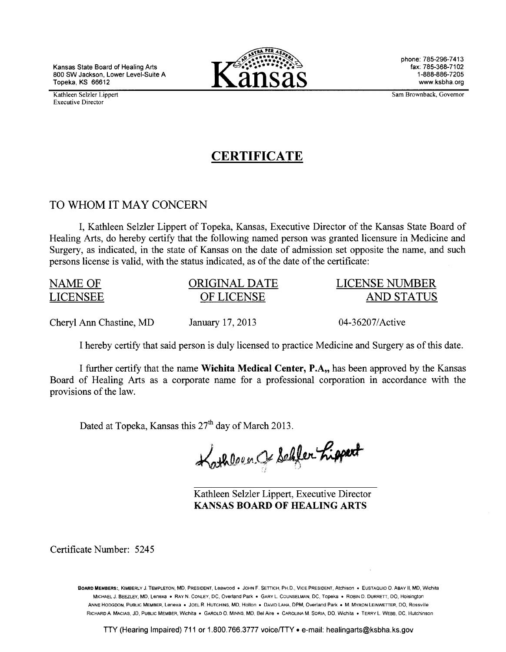Kansas State Board of Healing Arts 800 SW Jackson, Lower Level-Suite A Topeka, KS 66612

Kathleen Selzler Lippert Executive Director



phone: 785-296-7413 fax: 785-368-7102 1-888-886-7205 www.ksbha.org

Sam Brownback, Governor

# **CERTIFICATE**

# TO WHOM IT MAY CONCERN

I, Kathleen Selzler Lippert of Topeka, Kansas, Executive Director of the Kansas State Board of Healing Arts, do hereby certify that the following named person was granted licensure in Medicine and Surgery, as indicated, in the state of Kansas on the date of admission set opposite the name, and such persons license is valid, with the status indicated, as of the date of the certificate:

| NAME OF                 | ORIGINAL DATE    | LICENSE NUMBER  |
|-------------------------|------------------|-----------------|
| LICENSEE                | OF LICENSE       | AND STATUS      |
| Cheryl Ann Chastine, MD | January 17, 2013 | 04-36207/Active |

I hereby certify that said person is duly licensed to practice Medicine and Surgery as of this date.

I further certify that the name Wichita Medical Center, P.A, has been approved by the Kansas Board of Healing Arts as a corporate name for a professional corporation in accordance with the provisions of the law.

Dated at Topeka, Kansas this  $27<sup>th</sup>$  day of March 2013.

Kathleen Je Schler Lippert

Kathleen Selzler Lippert, Executive Director KANSAS BOARD OF HEALING ARTS

Certificate Number: 5245

BOARD MEMBERS:, KIMBERLY J. TEMPLETON, MD, PRESIDENT, Leawood • JOHN F. SETTICH, PH.D., VICE PRESIDENT, Atchison • EUSTAQUIO 0. ABAY II, MD, Wichita MICHAEL J. BEEZLEY, MD, Lenexa • RAY N. CONLEY, DC, Overland Park • GARY L. COUNSELMAN, DC, Topeka • ROBIN D. DURRETT, DO, Hoisington ANNE HODGDON, PUBLIC MEMBER, Lenexa • JOEL R. HUTCHINS. MD, Holton • DAVID LAHA, DPM, Overland Park • M. MYRON LEINWETTER, DO, Rossville RICHARD A. MACIAS, JD, PUBLIC MEMBER, Wichita • GAROLD 0. MINNS. MD. BelAire • CAROLINA M. SORIA, DO. Wichita • TERRY L WEBB, DC, Hutchinson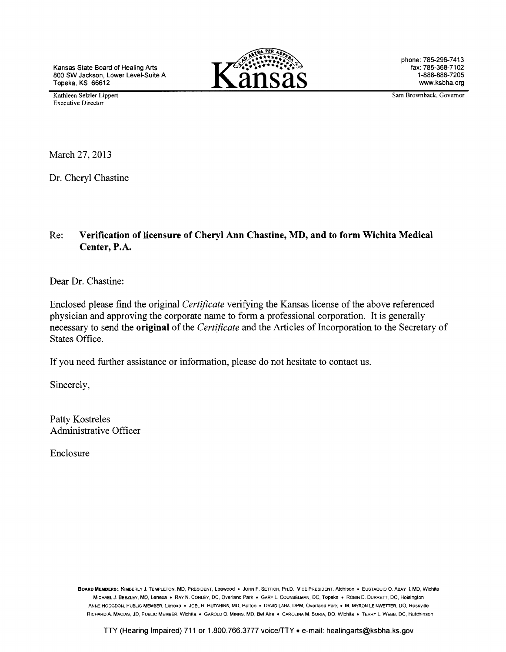Kansas State Board of Healing Arts 800 SW Jackson, Lower Level-Suite A Topeka. KS 66612



phone: 785-296-7413 fax: 785-368-7102 1-888-886-7205 www.ksbha.org

Kathleen Selzler Lippert Executive Director

Sam Brownback, Governor

March 27, 2013

Dr. Cheryl Chastine

# Re: **Verification of licensure of Cheryl Ann Chastine, MD, and to form Wichita Medical Center,** P.A.

Dear Dr. Chastine:

Enclosed please find the original *Certificate* verifying the Kansas license of the above referenced physician and approving the corporate name to form a professional corporation. It is generally necessary to send the **original** of the *Certificate* and the Articles of Incorporation to the Secretary of States Office.

If you need further assistance or information, please do not hesitate to contact us.

Sincerely,

Patty Kostreles Administrative Officer

Enclosure

BOARD MEMBERS:, KIMBERLY J. TEMPLETON, MD, PRESIDENT, Leawood • JOHN F. SETTICH, PH.D., VICE PRESIDENT, Atchison • EUSTAQUIO 0. ABAY II, MD, Wichita MICHAEL J. BEEZLEY, MD, Lenexa • RAY N. CONLEY, DC, Overland Park • GARY L. COUNSELMAN, DC, Topeka • ROBIN D. DURRETT, DO, Hoisington ANNE HODGDON, PUBLIC MEMBER, Lenexa • JOEL R. HUTCHINS, MD, Holton • DAVID LAHA, DPM, Overland Park • M. MYRON LEINWETTER, DO, Rossville RICHARD A. MACIAS, JD, PUBLIC MEMBER, Wichita • GAROLD 0. MINNS, MD, BelAire • CAROLINA M. SORIA, DO, Wichita • TERRY L. WEBB, DC, Hutchinson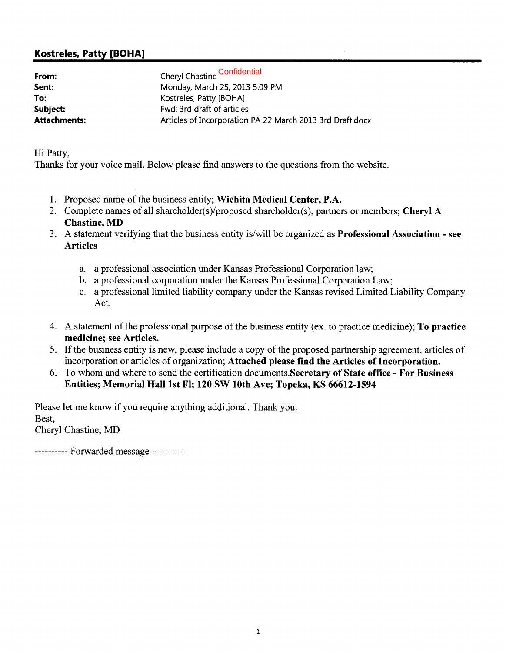# Kostreles, Patty [BOHA]

| From:               | Cheryl Chastine Confidential                              |  |
|---------------------|-----------------------------------------------------------|--|
| Sent:               | Monday, March 25, 2013 5:09 PM                            |  |
| To:                 | Kostreles, Patty [BOHA]                                   |  |
| Subject:            | Fwd: 3rd draft of articles                                |  |
| <b>Attachments:</b> | Articles of Incorporation PA 22 March 2013 3rd Draft.docx |  |

Hi Patty,

Thanks for your voice mail. Below please find answers to the questions from the website.

- 1. Proposed name of the business entity; Wichita Medical Center, P.A.
- 2. Complete names of all shareholder(s)/proposed shareholder(s), partners or members; Cheryl A Chastine, MD
- 3. A statement verifying that the business entity is/will be organized as Professional Association- see Articles
	- a. a professional association under Kansas Professional Corporation law;
	- b. a professional corporation under the Kansas Professional Corporation Law;
	- c. a professional limited liability company under the Kansas revised Limited Liability Company Act.
- 4. A statement of the professional purpose of the business entity (ex. to practice medicine); To practice medicine; see Articles.
- 5. If the business entity is new, please include a copy of the proposed partnership agreement, articles of incorporation or articles of organization; Attached please find the Articles of Incorporation.
- 6. To whom and where to send the certification documents. Secretary of State office- For Business Entities; Memorial Hall 1st Fl; 120 SW 10th Ave; Topeka, KS 66612-1594

Please let me know if you require anything additional. Thank you. Best, Cheryl Chastine, MD

---------- Forwarded message ----------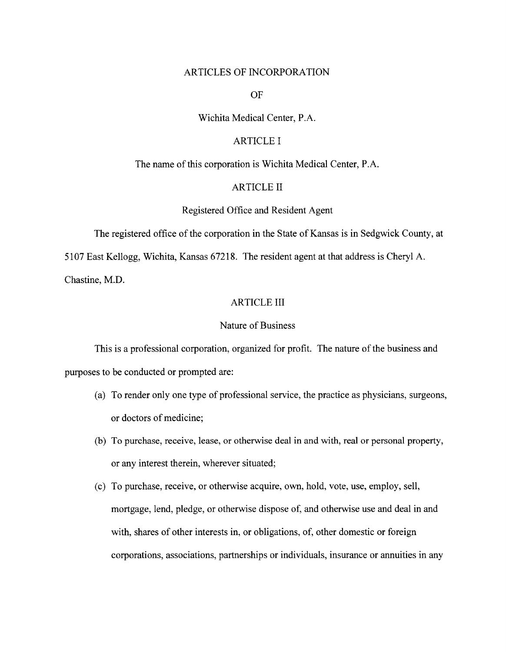#### ARTICLES OF INCORPORATION

OF

### Wichita Medical Center, P.A.

# ARTICLE I

The name of this corporation is Wichita Medical Center, P.A.

# ARTICLE II

#### Registered Office and Resident Agent

The registered office of the corporation in the State of Kansas is in Sedgwick County, at

5107 East Kellogg, Wichita, Kansas 67218. The resident agent at that address is Cheryl A.

Chastine, M.D.

### ARTICLE III

#### Nature of Business

This is a professional corporation, organized for profit. The nature of the business and purposes to be conducted or prompted are:

- (a) To render only one type of professional service, the practice as physicians, surgeons, or doctors of medicine;
- (b) To purchase, receive, lease, or otherwise deal in and with, real or personal property, or any interest therein, wherever situated;
- (c) To purchase, receive, or otherwise acquire, own, hold, vote, use, employ, sell, mortgage, lend, pledge, or otherwise dispose of, and otherwise use and deal in and with, shares of other interests in, or obligations, of, other domestic or foreign corporations, associations, partnerships or individuals, insurance or annuities in any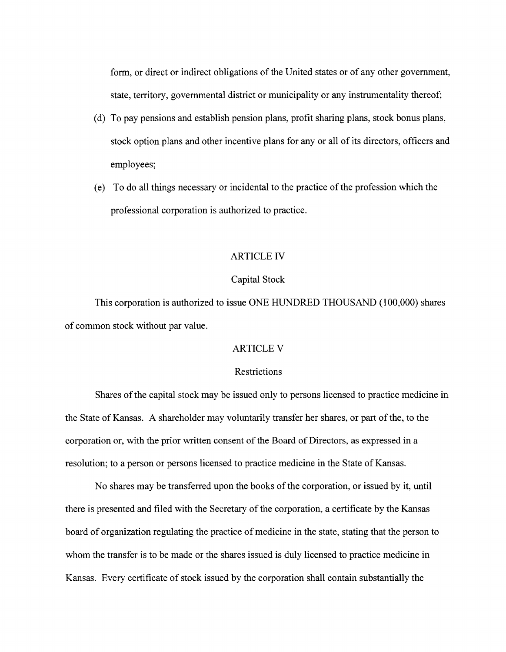form, or direct or indirect obligations of the United states or of any other government, state, territory, governmental district or municipality or any instrumentality thereof;

- (d) To pay pensions and establish pension plans, profit sharing plans, stock bonus plans, stock option plans and other incentive plans for any or all of its directors, officers and employees;
- (e) To do all things necessary or incidental to the practice of the profession which the professional corporation is authorized to practice.

#### ARTICLE IV

#### Capital Stock

This corporation is authorized to issue ONE HUNDRED THOUSAND (100,000) shares of common stock without par value.

# ARTICLE V

# **Restrictions**

Shares of the capital stock may be issued only to persons licensed to practice medicine in the State of Kansas. A shareholder may voluntarily transfer her shares, or part of the, to the corporation or, with the prior written consent of the Board of Directors, as expressed in a resolution; to a person or persons licensed to practice medicine in the State of Kansas.

No shares may be transferred upon the books of the corporation, or issued by it, until there is presented and filed with the Secretary of the corporation, a certificate by the Kansas board of organization regulating the practice of medicine in the state, stating that the person to whom the transfer is to be made or the shares issued is duly licensed to practice medicine in Kansas. Every certificate of stock issued by the corporation shall contain substantially the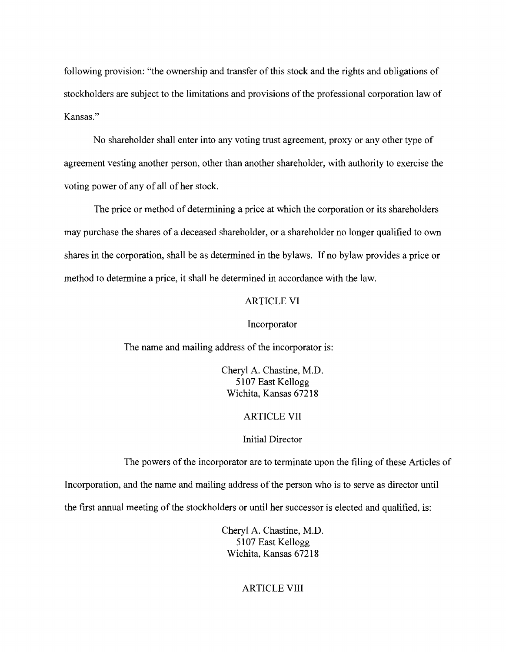following provision: "the ownership and transfer of this stock and the rights and obligations of stockholders are subject to the limitations and provisions of the professional corporation law of Kansas."

No shareholder shall enter into any voting trust agreement, proxy or any other type of agreement vesting another person, other than another shareholder, with authority to exercise the voting power of any of all of her stock.

The price or method of determining a price at which the corporation or its shareholders may purchase the shares of a deceased shareholder, or a shareholder no longer qualified to own shares in the corporation, shall be as determined in the bylaws. If no bylaw provides a price or method to determine a price, it shall be determined in accordance with the law.

# ARTICLE VI

#### Incorporator

The name and mailing address of the incorporator is:

Cheryl A. Chastine, M.D. 51 07 East Kellogg Wichita, Kansas 67218

#### ARTICLE VII

#### Initial Director

The powers of the incorporator are to terminate upon the filing of these Articles of

Incorporation, and the name and mailing address of the person who is to serve as director until

the first annual meeting of the stockholders or until her successor is elected and qualified, is:

Cheryl A. Chastine, M.D. 5107 East Kellogg Wichita, Kansas 67218

# ARTICLE VIII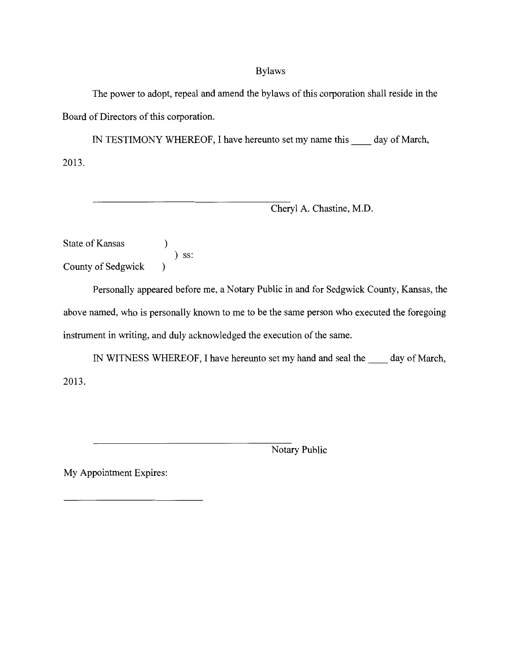# Bylaws

The power to adopt, repeal and amend the bylaws of this corporation shall reside in the Board of Directors of this corporation.

IN TESTIMONY WHEREOF, I have hereunto set my name this \_\_ day of March, 2013.

Cheryl A. Chastine, M.D.

State of Kansas ) ) ss: County of Sedgwick )

Personally appeared before me, a Notary Public in and for Sedgwick County, Kansas, the above named, who is personally known to me to be the same person who executed the foregoing instrument in writing, and duly acknowledged the execution of the same.

IN WITNESS WHEREOF, I have hereunto set my hand and seal the \_\_ day of March, 2013.

Notary Public

My Appointment Expires: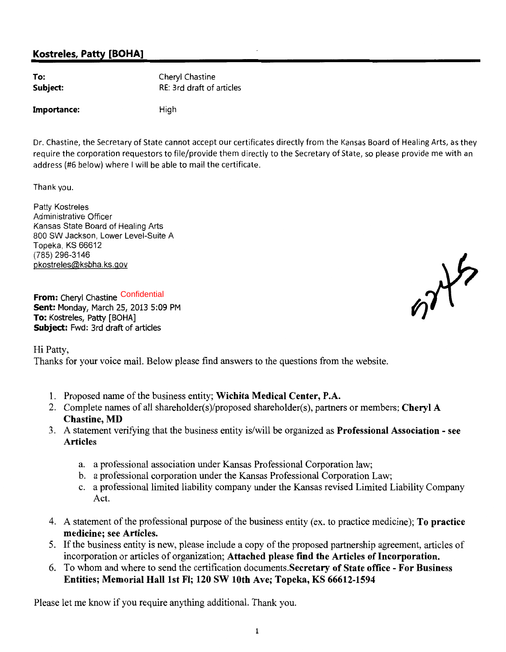# Kostreles, Patty [BOHA]

| To:      | Cheryl Chastine           |
|----------|---------------------------|
| Subject: | RE: 3rd draft of articles |

#### Importance: High

Dr. Chastine, the Secretary of State cannot accept our certificates directly from the Kansas Board of Healing Arts, as they require the corporation requestors to file/provide them directly to the Secretary of State, so please provide me with an address (#6 below) where I will be able to mail the certificate.

Thank you.

Patty Kostreles Administrative Officer Kansas State Board of Healing Arts 800 SW Jackson, Lower Level-Suite A Topeka, KS 66612 (785) 296-3146 pkostreles@ksbha. ks.gov

**From:** Cheryl Chastine Confidential Sent: Monday, March 25, 2013 5:09 PM To: Kostreles, Patty [BOHA] Subject: Fwd: 3rd draft of articles

Hi Patty,

Thanks for your voice mail. Below please find answers to the questions from the website.

- 1. Proposed name of the business entity; Wichita Medical Center, P.A.
- 2. Complete names of all shareholder(s)/proposed shareholder(s), partners or members; Cheryl A Chastine, MD
- 3. A statement verifying that the business entity is/will be organized as Professional Association see Articles
	- a. a professional association under Kansas Professional Corporation law;
	- b. a professional corporation under the Kansas Professional Corporation Law;
	- c. a professional limited liability company under the Kansas revised Limited Liability Company Act.
- 4. A statement of the professional purpose of the business entity (ex. to practice medicine); To practice medicine; see Articles.
- 5. If the business entity is new, please include a copy of the proposed partnership agreement, articles of incorporation or articles of organization; Attached please find the Articles of Incorporation.
- 6. To whom and where to send the certification documents.Secretary of State office For Business Entities; Memorial Hall 1st Fl; 120 SW 10th Ave; Topeka, KS 66612-1594

Please let me know if you require anything additional. Thank you.